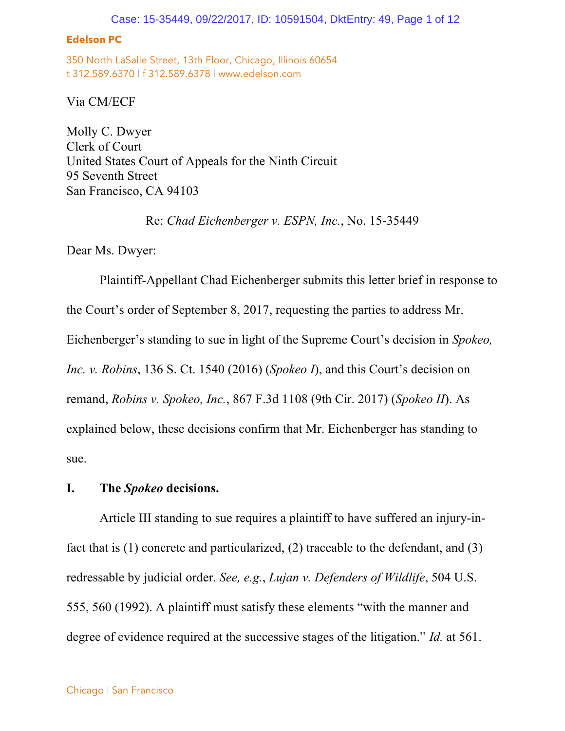Case: 15-35449, 09/22/2017, ID: 10591504, DktEntry: 49, Page 1 of 12

### **Edelson PC**

350 North LaSalle Street, 13th Floor, Chicago, Illinois 60654 t 312.589.6370 | f 312.589.6378 | www.edelson.com

## Via CM/ECF

Molly C. Dwyer Clerk of Court United States Court of Appeals for the Ninth Circuit 95 Seventh Street San Francisco, CA 94103

Re: *Chad Eichenberger v. ESPN, Inc.*, No. 15-35449

Dear Ms. Dwyer:

Plaintiff-Appellant Chad Eichenberger submits this letter brief in response to the Court's order of September 8, 2017, requesting the parties to address Mr. Eichenberger's standing to sue in light of the Supreme Court's decision in *Spokeo, Inc. v. Robins*, 136 S. Ct. 1540 (2016) (*Spokeo I*), and this Court's decision on remand, *Robins v. Spokeo, Inc.*, 867 F.3d 1108 (9th Cir. 2017) (*Spokeo II*). As explained below, these decisions confirm that Mr. Eichenberger has standing to sue.

## **I. The** *Spokeo* **decisions.**

Article III standing to sue requires a plaintiff to have suffered an injury-infact that is (1) concrete and particularized, (2) traceable to the defendant, and (3) redressable by judicial order. *See, e.g.*, *Lujan v. Defenders of Wildlife*, 504 U.S. 555, 560 (1992). A plaintiff must satisfy these elements "with the manner and degree of evidence required at the successive stages of the litigation." *Id.* at 561.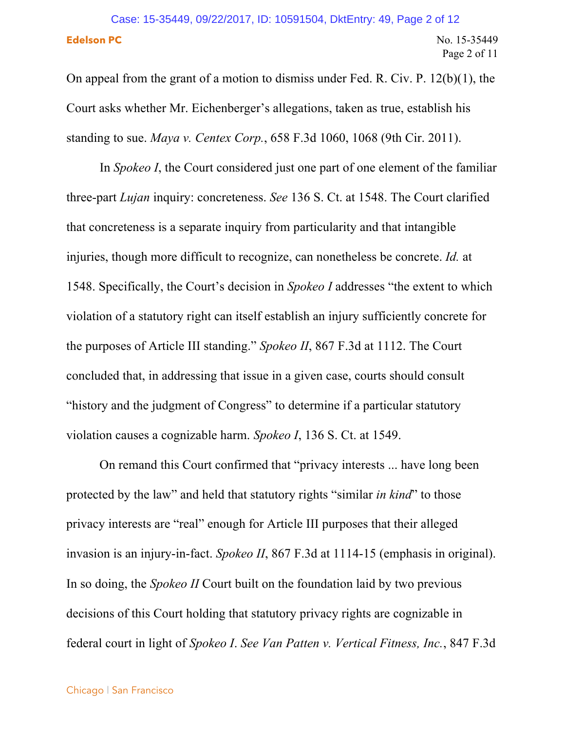# **Edelson PC** No. 15-35449 Case: 15-35449, 09/22/2017, ID: 10591504, DktEntry: 49, Page 2 of 12

Page 2 of 11

On appeal from the grant of a motion to dismiss under Fed. R. Civ. P. 12(b)(1), the Court asks whether Mr. Eichenberger's allegations, taken as true, establish his standing to sue. *Maya v. Centex Corp.*, 658 F.3d 1060, 1068 (9th Cir. 2011).

In *Spokeo I*, the Court considered just one part of one element of the familiar three-part *Lujan* inquiry: concreteness. *See* 136 S. Ct. at 1548. The Court clarified that concreteness is a separate inquiry from particularity and that intangible injuries, though more difficult to recognize, can nonetheless be concrete. *Id.* at 1548. Specifically, the Court's decision in *Spokeo I* addresses "the extent to which violation of a statutory right can itself establish an injury sufficiently concrete for the purposes of Article III standing." *Spokeo II*, 867 F.3d at 1112. The Court concluded that, in addressing that issue in a given case, courts should consult "history and the judgment of Congress" to determine if a particular statutory violation causes a cognizable harm. *Spokeo I*, 136 S. Ct. at 1549.

On remand this Court confirmed that "privacy interests ... have long been protected by the law" and held that statutory rights "similar *in kind*" to those privacy interests are "real" enough for Article III purposes that their alleged invasion is an injury-in-fact. *Spokeo II*, 867 F.3d at 1114-15 (emphasis in original). In so doing, the *Spokeo II* Court built on the foundation laid by two previous decisions of this Court holding that statutory privacy rights are cognizable in federal court in light of *Spokeo I*. *See Van Patten v. Vertical Fitness, Inc.*, 847 F.3d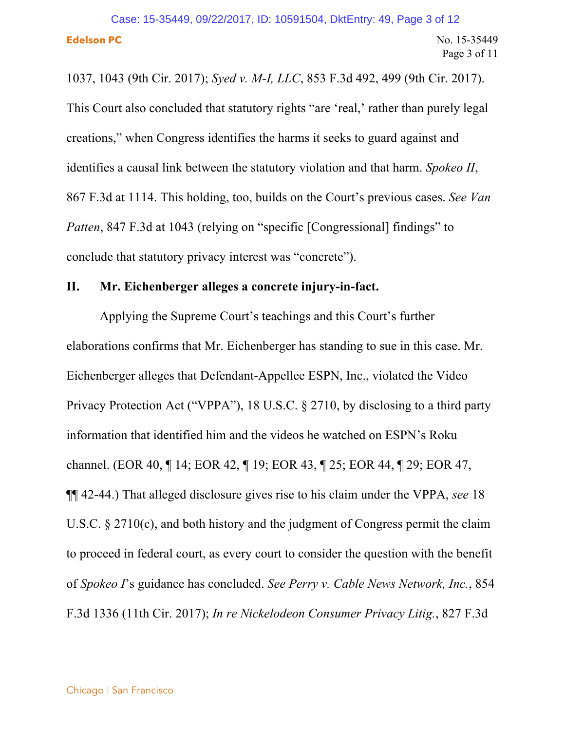## **Edelson PC** No. 15-35449 Case: 15-35449, 09/22/2017, ID: 10591504, DktEntry: 49, Page 3 of 12

1037, 1043 (9th Cir. 2017); *Syed v. M-I, LLC*, 853 F.3d 492, 499 (9th Cir. 2017). This Court also concluded that statutory rights "are 'real,' rather than purely legal creations," when Congress identifies the harms it seeks to guard against and identifies a causal link between the statutory violation and that harm. *Spokeo II*, 867 F.3d at 1114. This holding, too, builds on the Court's previous cases. *See Van Patten*, 847 F.3d at 1043 (relying on "specific [Congressional] findings" to conclude that statutory privacy interest was "concrete").

## **II. Mr. Eichenberger alleges a concrete injury-in-fact.**

Applying the Supreme Court's teachings and this Court's further elaborations confirms that Mr. Eichenberger has standing to sue in this case. Mr. Eichenberger alleges that Defendant-Appellee ESPN, Inc., violated the Video Privacy Protection Act ("VPPA"), 18 U.S.C. § 2710, by disclosing to a third party information that identified him and the videos he watched on ESPN's Roku channel. (EOR 40, ¶ 14; EOR 42, ¶ 19; EOR 43, ¶ 25; EOR 44, ¶ 29; EOR 47, ¶¶ 42-44.) That alleged disclosure gives rise to his claim under the VPPA, *see* 18 U.S.C. § 2710(c), and both history and the judgment of Congress permit the claim to proceed in federal court, as every court to consider the question with the benefit of *Spokeo I*'s guidance has concluded. *See Perry v. Cable News Network, Inc.*, 854 F.3d 1336 (11th Cir. 2017); *In re Nickelodeon Consumer Privacy Litig.*, 827 F.3d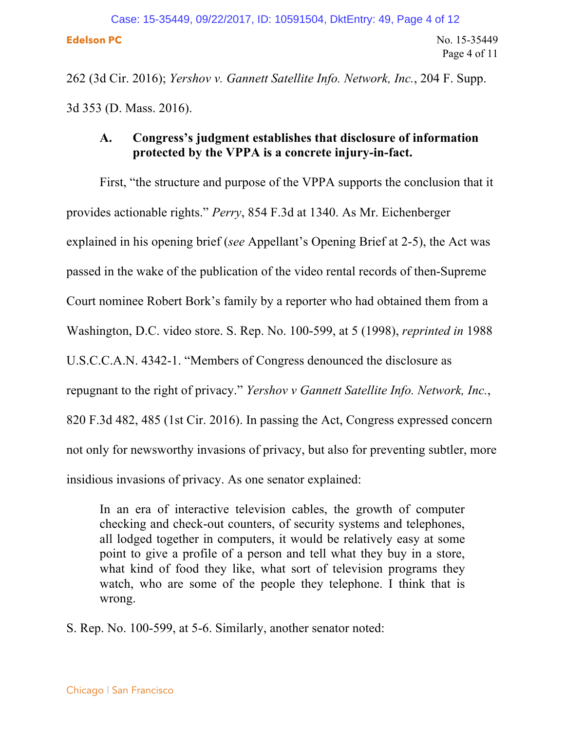**Edelson PC** No. 15-35449 Page 4 of 11 Case: 15-35449, 09/22/2017, ID: 10591504, DktEntry: 49, Page 4 of 12

262 (3d Cir. 2016); *Yershov v. Gannett Satellite Info. Network, Inc.*, 204 F. Supp. 3d 353 (D. Mass. 2016).

## **A. Congress's judgment establishes that disclosure of information protected by the VPPA is a concrete injury-in-fact.**

First, "the structure and purpose of the VPPA supports the conclusion that it provides actionable rights." *Perry*, 854 F.3d at 1340. As Mr. Eichenberger explained in his opening brief (*see* Appellant's Opening Brief at 2-5), the Act was passed in the wake of the publication of the video rental records of then-Supreme Court nominee Robert Bork's family by a reporter who had obtained them from a Washington, D.C. video store. S. Rep. No. 100-599, at 5 (1998), *reprinted in* 1988 U.S.C.C.A.N. 4342-1. "Members of Congress denounced the disclosure as repugnant to the right of privacy." *Yershov v Gannett Satellite Info. Network, Inc.*, 820 F.3d 482, 485 (1st Cir. 2016). In passing the Act, Congress expressed concern not only for newsworthy invasions of privacy, but also for preventing subtler, more insidious invasions of privacy. As one senator explained:

In an era of interactive television cables, the growth of computer checking and check-out counters, of security systems and telephones, all lodged together in computers, it would be relatively easy at some point to give a profile of a person and tell what they buy in a store, what kind of food they like, what sort of television programs they watch, who are some of the people they telephone. I think that is wrong.

S. Rep. No. 100-599, at 5-6. Similarly, another senator noted: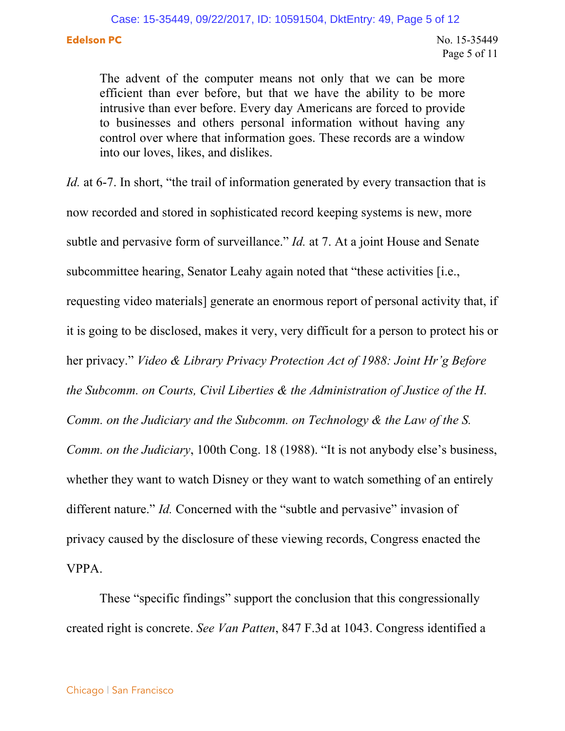The advent of the computer means not only that we can be more efficient than ever before, but that we have the ability to be more intrusive than ever before. Every day Americans are forced to provide to businesses and others personal information without having any control over where that information goes. These records are a window into our loves, likes, and dislikes.

*Id.* at 6-7. In short, "the trail of information generated by every transaction that is now recorded and stored in sophisticated record keeping systems is new, more subtle and pervasive form of surveillance." *Id.* at 7. At a joint House and Senate subcommittee hearing, Senator Leahy again noted that "these activities [i.e., requesting video materials] generate an enormous report of personal activity that, if it is going to be disclosed, makes it very, very difficult for a person to protect his or her privacy." *Video & Library Privacy Protection Act of 1988: Joint Hr'g Before the Subcomm. on Courts, Civil Liberties & the Administration of Justice of the H. Comm. on the Judiciary and the Subcomm. on Technology & the Law of the S. Comm. on the Judiciary*, 100th Cong. 18 (1988). "It is not anybody else's business, whether they want to watch Disney or they want to watch something of an entirely different nature." *Id.* Concerned with the "subtle and pervasive" invasion of privacy caused by the disclosure of these viewing records, Congress enacted the VPPA.

These "specific findings" support the conclusion that this congressionally created right is concrete. *See Van Patten*, 847 F.3d at 1043. Congress identified a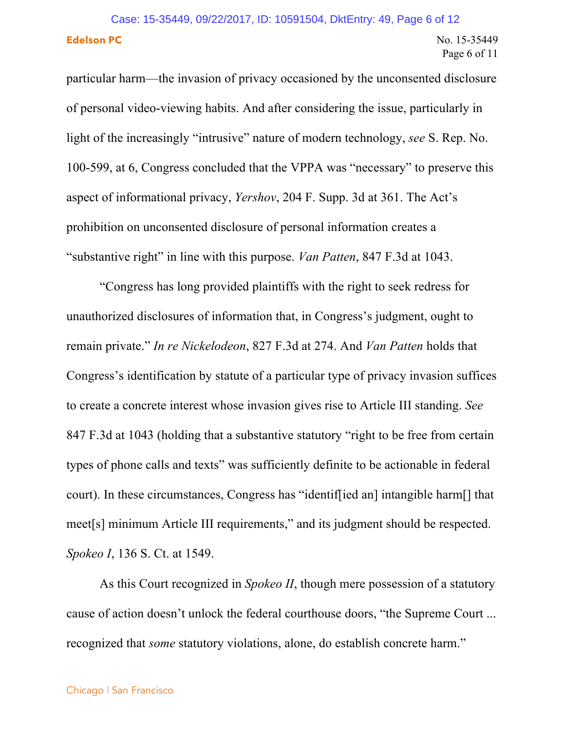## **Edelson PC** No. 15-35449 Case: 15-35449, 09/22/2017, ID: 10591504, DktEntry: 49, Page 6 of 12

# Page 6 of 11

particular harm—the invasion of privacy occasioned by the unconsented disclosure of personal video-viewing habits. And after considering the issue, particularly in light of the increasingly "intrusive" nature of modern technology, *see* S. Rep. No. 100-599, at 6, Congress concluded that the VPPA was "necessary" to preserve this aspect of informational privacy, *Yershov*, 204 F. Supp. 3d at 361. The Act's prohibition on unconsented disclosure of personal information creates a "substantive right" in line with this purpose. *Van Patten*, 847 F.3d at 1043.

"Congress has long provided plaintiffs with the right to seek redress for unauthorized disclosures of information that, in Congress's judgment, ought to remain private." *In re Nickelodeon*, 827 F.3d at 274. And *Van Patten* holds that Congress's identification by statute of a particular type of privacy invasion suffices to create a concrete interest whose invasion gives rise to Article III standing. *See*  847 F.3d at 1043 (holding that a substantive statutory "right to be free from certain types of phone calls and texts" was sufficiently definite to be actionable in federal court). In these circumstances, Congress has "identif[ied an] intangible harm[] that meet[s] minimum Article III requirements," and its judgment should be respected. *Spokeo I*, 136 S. Ct. at 1549.

As this Court recognized in *Spokeo II*, though mere possession of a statutory cause of action doesn't unlock the federal courthouse doors, "the Supreme Court ... recognized that *some* statutory violations, alone, do establish concrete harm."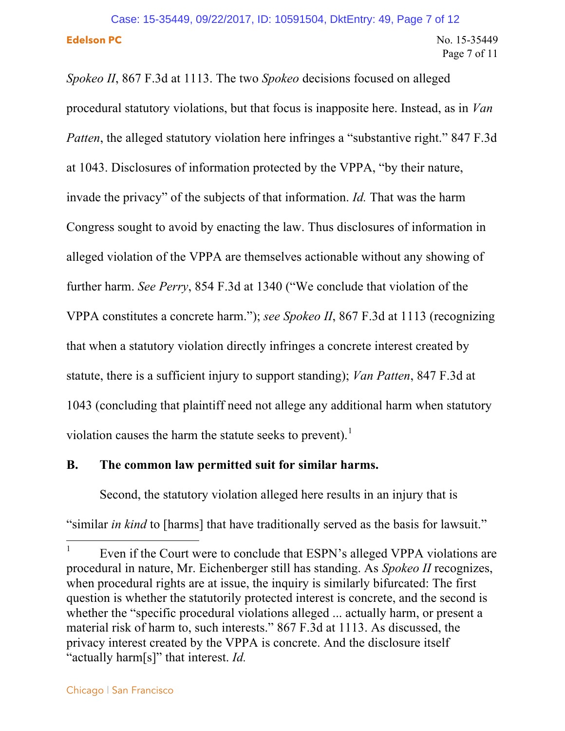## **Edelson PC** No. 15-35449 Case: 15-35449, 09/22/2017, ID: 10591504, DktEntry: 49, Page 7 of 12

*Spokeo II*, 867 F.3d at 1113. The two *Spokeo* decisions focused on alleged procedural statutory violations, but that focus is inapposite here. Instead, as in *Van Patten*, the alleged statutory violation here infringes a "substantive right." 847 F.3d at 1043. Disclosures of information protected by the VPPA, "by their nature, invade the privacy" of the subjects of that information. *Id.* That was the harm Congress sought to avoid by enacting the law. Thus disclosures of information in alleged violation of the VPPA are themselves actionable without any showing of further harm. *See Perry*, 854 F.3d at 1340 ("We conclude that violation of the VPPA constitutes a concrete harm."); *see Spokeo II*, 867 F.3d at 1113 (recognizing that when a statutory violation directly infringes a concrete interest created by statute, there is a sufficient injury to support standing); *Van Patten*, 847 F.3d at 1043 (concluding that plaintiff need not allege any additional harm when statutory violation causes the harm the statute seeks to prevent).<sup>1</sup>

## **B. The common law permitted suit for similar harms.**

Second, the statutory violation alleged here results in an injury that is "similar *in kind* to [harms] that have traditionally served as the basis for lawsuit."

 

<sup>1</sup> Even if the Court were to conclude that ESPN's alleged VPPA violations are procedural in nature, Mr. Eichenberger still has standing. As *Spokeo II* recognizes, when procedural rights are at issue, the inquiry is similarly bifurcated: The first question is whether the statutorily protected interest is concrete, and the second is whether the "specific procedural violations alleged ... actually harm, or present a material risk of harm to, such interests." 867 F.3d at 1113. As discussed, the privacy interest created by the VPPA is concrete. And the disclosure itself "actually harm[s]" that interest. *Id.*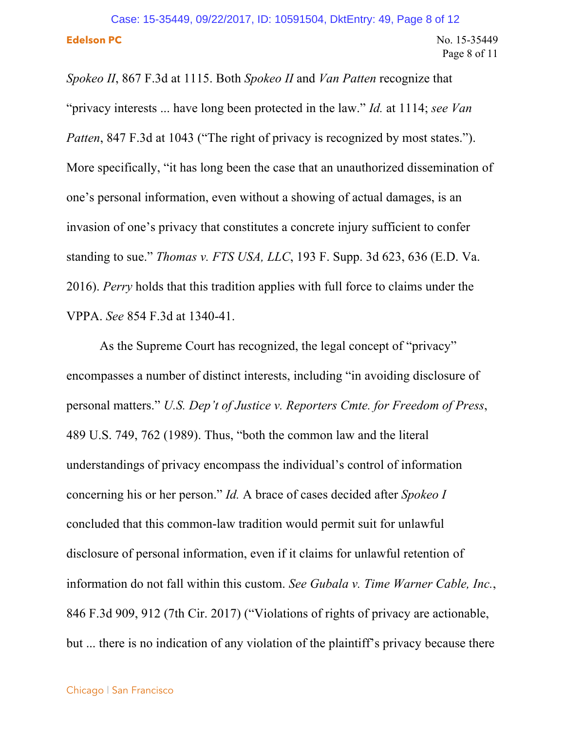# **Edelson PC** No. 15-35449 Case: 15-35449, 09/22/2017, ID: 10591504, DktEntry: 49, Page 8 of 12

*Spokeo II*, 867 F.3d at 1115. Both *Spokeo II* and *Van Patten* recognize that "privacy interests ... have long been protected in the law." *Id.* at 1114; *see Van Patten*, 847 F.3d at 1043 ("The right of privacy is recognized by most states."). More specifically, "it has long been the case that an unauthorized dissemination of one's personal information, even without a showing of actual damages, is an invasion of one's privacy that constitutes a concrete injury sufficient to confer standing to sue." *Thomas v. FTS USA, LLC*, 193 F. Supp. 3d 623, 636 (E.D. Va. 2016). *Perry* holds that this tradition applies with full force to claims under the VPPA. *See* 854 F.3d at 1340-41.

As the Supreme Court has recognized, the legal concept of "privacy" encompasses a number of distinct interests, including "in avoiding disclosure of personal matters." *U.S. Dep't of Justice v. Reporters Cmte. for Freedom of Press*, 489 U.S. 749, 762 (1989). Thus, "both the common law and the literal understandings of privacy encompass the individual's control of information concerning his or her person." *Id.* A brace of cases decided after *Spokeo I* concluded that this common-law tradition would permit suit for unlawful disclosure of personal information, even if it claims for unlawful retention of information do not fall within this custom. *See Gubala v. Time Warner Cable, Inc.*, 846 F.3d 909, 912 (7th Cir. 2017) ("Violations of rights of privacy are actionable, but ... there is no indication of any violation of the plaintiff's privacy because there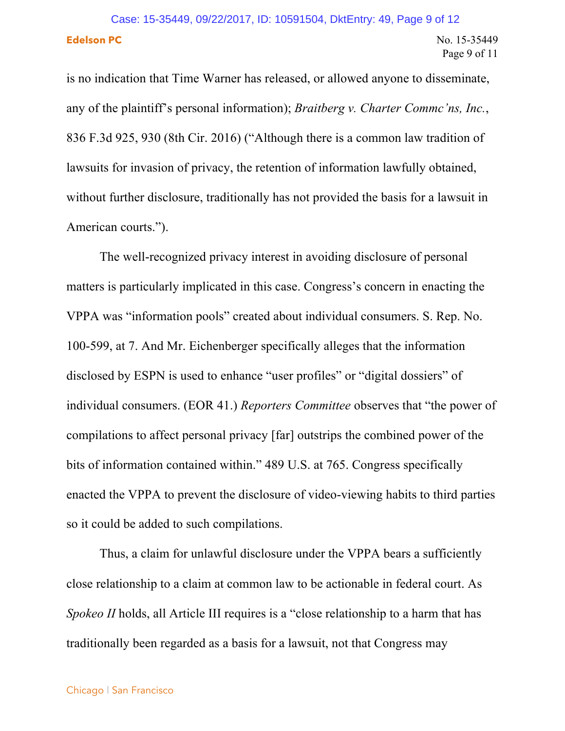# **Edelson PC** No. 15-35449 Case: 15-35449, 09/22/2017, ID: 10591504, DktEntry: 49, Page 9 of 12

Page 9 of 11

is no indication that Time Warner has released, or allowed anyone to disseminate, any of the plaintiff's personal information); *Braitberg v. Charter Commc'ns, Inc.*, 836 F.3d 925, 930 (8th Cir. 2016) ("Although there is a common law tradition of lawsuits for invasion of privacy, the retention of information lawfully obtained, without further disclosure, traditionally has not provided the basis for a lawsuit in American courts.").

The well-recognized privacy interest in avoiding disclosure of personal matters is particularly implicated in this case. Congress's concern in enacting the VPPA was "information pools" created about individual consumers. S. Rep. No. 100-599, at 7. And Mr. Eichenberger specifically alleges that the information disclosed by ESPN is used to enhance "user profiles" or "digital dossiers" of individual consumers. (EOR 41.) *Reporters Committee* observes that "the power of compilations to affect personal privacy [far] outstrips the combined power of the bits of information contained within." 489 U.S. at 765. Congress specifically enacted the VPPA to prevent the disclosure of video-viewing habits to third parties so it could be added to such compilations.

Thus, a claim for unlawful disclosure under the VPPA bears a sufficiently close relationship to a claim at common law to be actionable in federal court. As *Spokeo II* holds, all Article III requires is a "close relationship to a harm that has traditionally been regarded as a basis for a lawsuit, not that Congress may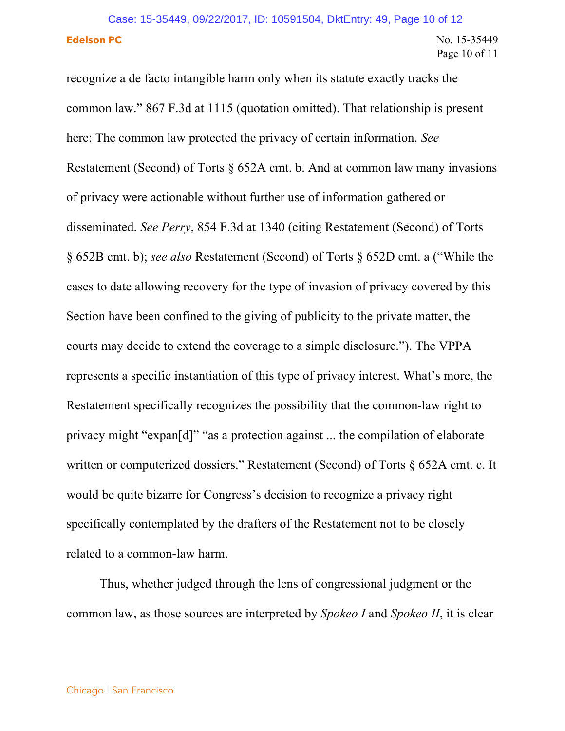# **Edelson PC** No. 15-35449 Case: 15-35449, 09/22/2017, ID: 10591504, DktEntry: 49, Page 10 of 12

recognize a de facto intangible harm only when its statute exactly tracks the common law." 867 F.3d at 1115 (quotation omitted). That relationship is present here: The common law protected the privacy of certain information. *See* Restatement (Second) of Torts § 652A cmt. b. And at common law many invasions of privacy were actionable without further use of information gathered or disseminated. *See Perry*, 854 F.3d at 1340 (citing Restatement (Second) of Torts § 652B cmt. b); *see also* Restatement (Second) of Torts § 652D cmt. a ("While the cases to date allowing recovery for the type of invasion of privacy covered by this Section have been confined to the giving of publicity to the private matter, the courts may decide to extend the coverage to a simple disclosure."). The VPPA represents a specific instantiation of this type of privacy interest. What's more, the Restatement specifically recognizes the possibility that the common-law right to privacy might "expan[d]" "as a protection against ... the compilation of elaborate written or computerized dossiers." Restatement (Second) of Torts § 652A cmt. c. It would be quite bizarre for Congress's decision to recognize a privacy right specifically contemplated by the drafters of the Restatement not to be closely related to a common-law harm.

Thus, whether judged through the lens of congressional judgment or the common law, as those sources are interpreted by *Spokeo I* and *Spokeo II*, it is clear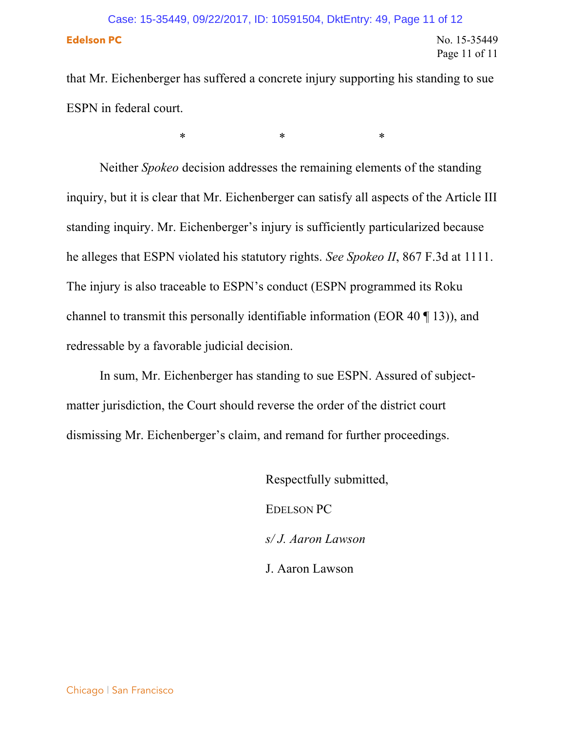# **Edelson PC** No. 15-35449 Case: 15-35449, 09/22/2017, ID: 10591504, DktEntry: 49, Page 11 of 12

Page 11 of 11

that Mr. Eichenberger has suffered a concrete injury supporting his standing to sue ESPN in federal court.

 $*$  \*  $*$  \*  $*$ 

Neither *Spokeo* decision addresses the remaining elements of the standing inquiry, but it is clear that Mr. Eichenberger can satisfy all aspects of the Article III standing inquiry. Mr. Eichenberger's injury is sufficiently particularized because he alleges that ESPN violated his statutory rights. *See Spokeo II*, 867 F.3d at 1111. The injury is also traceable to ESPN's conduct (ESPN programmed its Roku channel to transmit this personally identifiable information (EOR 40 ¶ 13)), and redressable by a favorable judicial decision.

In sum, Mr. Eichenberger has standing to sue ESPN. Assured of subjectmatter jurisdiction, the Court should reverse the order of the district court dismissing Mr. Eichenberger's claim, and remand for further proceedings.

> Respectfully submitted, EDELSON PC *s/ J. Aaron Lawson* J. Aaron Lawson